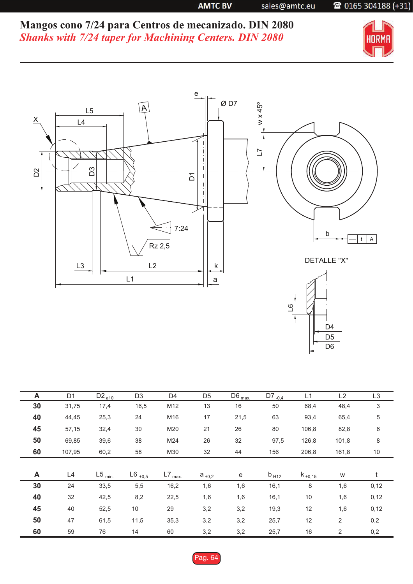**AMTC BV** 

sales@amtc.eu

## 2 0165 304188 (+31)

**Mangos cono 7/24 para Centros de mecanizado. DIN 2080** *Shanks with 7/24 taper for Machining Centers. DIN 2080*



D<sub>5</sub> D4

 $\overline{1}$ 



|    |                |                               |                |                      |                |                   |                        | D <sub>6</sub> |                |                |
|----|----------------|-------------------------------|----------------|----------------------|----------------|-------------------|------------------------|----------------|----------------|----------------|
|    |                |                               |                |                      |                |                   |                        |                |                |                |
| A  | D <sub>1</sub> | D <sub>2</sub> <sub>a10</sub> | D <sub>3</sub> | D <sub>4</sub>       | D <sub>5</sub> | $D6_{\text{max}}$ | $\overline{D7}_{-0,4}$ | L1             | L2             | L <sub>3</sub> |
| 30 | 31,75          | 17,4                          | 16,5           | M12                  | 13             | 16                | 50                     | 68,4           | 48,4           | $\sqrt{3}$     |
| 40 | 44,45          | 25,3                          | 24             | M16                  | 17             | 21,5              | 63                     | 93,4           | 65,4           | $\,$ 5 $\,$    |
| 45 | 57,15          | 32,4                          | 30             | M20                  | 21             | 26                | 80                     | 106,8          | 82,8           | $\,6\,$        |
| 50 | 69,85          | 39,6                          | 38             | M24                  | 26             | 32                | 97,5                   | 126,8          | 101,8          | 8              |
| 60 | 107,95         | 60,2                          | 58             | M30                  | 32             | 44                | 156                    | 206,8          | 161,8          | 10             |
| A  | L4             | $L5$ <sub>min.</sub>          | $L6_{+0,5}$    | $L7$ <sub>max.</sub> | $a_{\pm 0,2}$  | ${\bf e}$         | $b_{H12}$              | $k_{\pm 0,15}$ | W              | t              |
| 30 | 24             | 33,5                          | 5,5            | 16,2                 | 1,6            | 1,6               | 16,1                   | 8              | 1,6            | 0,12           |
| 40 | 32             | 42,5                          | 8,2            | 22,5                 | 1,6            | 1,6               | 16,1                   | 10             | 1,6            | 0,12           |
| 45 | 40             | 52,5                          | $10$           | 29                   | 3,2            | 3,2               | 19,3                   | 12             | 1,6            | 0,12           |
| 50 | 47             | 61,5                          | 11,5           | 35,3                 | 3,2            | 3,2               | 25,7                   | 12             | $\overline{2}$ | 0,2            |
| 60 | 59             | 76                            | 14             | 60                   | 3,2            | 3,2               | 25,7                   | 16             | $\overline{2}$ | 0,2            |

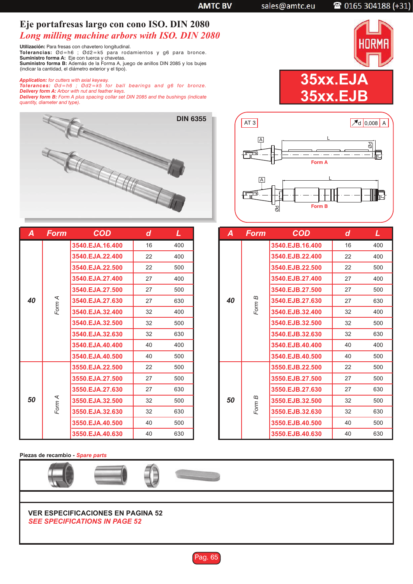**AMTC BV** 

sales@amtc.eu

2 0165 304188 (+31)

## **Eje portafresas largo con cono ISO. DIN 2080** *Long milling machine arbors with ISO. DIN 2080*

**Utilización:** Para fresas con chavetero longitudinal. Tolerancias: Ød=h6 ; Ød2=k5 para rodamientos y g6 para bronce. **Suministro forma A:** Eje con tuerca y chavetas. **Suministro forma B:** Además de la Forma A, juego de anillos DIN 2085 y los bujes (indicar la cantidad, el diámetro exterior y el tipo).

**Application:** for cutters with axial keyway.<br>**Tolerances:** Ød=h6 ; Ød2=k5 for ball bearings and g6 for bronze. *Delivery form A: Arbor with nut and feather keys. Delivery form B: Form A plus spacing collar set DIN 2085 and the bushings (indicate*



| A  | <b>Form</b> | <b>COD</b>            | d  | L   |
|----|-------------|-----------------------|----|-----|
|    |             | 3540.EJA.16.400       | 16 | 400 |
|    |             | 3540.EJA.22.400       | 22 | 400 |
|    |             | 3540.EJA.22.500       | 22 | 500 |
|    |             | 3540.EJA.27.400       | 27 | 400 |
|    |             | 3540.EJA.27.500       | 27 | 500 |
| 40 | Form A      | 3540.EJA.27.630       | 27 | 630 |
|    |             | 3540.EJA.32.400       | 32 | 400 |
|    |             | 3540.EJA.32.500       | 32 | 500 |
|    |             | 3540.EJA.32.630       | 32 | 630 |
|    |             | 3540.EJA.40.400<br>40 |    | 400 |
|    |             | 3540.EJA.40.500       | 40 | 500 |
| 50 |             | 3550.EJA.22.500       | 22 | 500 |
|    |             | 3550.EJA.27.500       | 27 | 500 |
|    |             | 3550.EJA.27.630       | 27 | 630 |
|    | Form A      | 3550.EJA.32.500       | 32 | 500 |
|    |             | 3550.EJA.32.630       | 32 | 630 |
|    |             | 3550.EJA.40.500       | 40 | 500 |
|    |             | 3550.EJA.40.630       | 40 | 630 |

| AT3                        | $7d$ 0,008 A                |
|----------------------------|-----------------------------|
| $\overline{A}$<br>,,,,,,,, | g<br><b>Roman</b><br>Form A |
| A<br>.<br>Ød               | <u>mum</u><br>Form B        |

**35xx.EJA**

**35xx.EJB**

| A  | <b>Form</b> | <b>COD</b>      | d  | L   |
|----|-------------|-----------------|----|-----|
|    |             | 3540.EJB.16.400 | 16 | 400 |
|    |             | 3540.EJB.22.400 | 22 | 400 |
|    |             | 3540.EJB.22.500 | 22 | 500 |
|    |             | 3540.EJB.27.400 | 27 | 400 |
|    |             | 3540.EJB.27.500 | 27 | 500 |
| 40 | Form B      | 3540.EJB.27.630 | 27 | 630 |
|    |             | 3540.EJB.32.400 | 32 | 400 |
|    |             | 3540.EJB.32.500 | 32 | 500 |
|    |             | 3540.EJB.32.630 | 32 | 630 |
|    |             | 3540.EJB.40.400 | 40 | 400 |
|    |             | 3540.EJB.40.500 | 40 | 500 |
| 50 |             | 3550.EJB.22.500 | 22 | 500 |
|    |             | 3550.EJB.27.500 | 27 | 500 |
|    | Form B      | 3550.EJB.27.630 | 27 | 630 |
|    |             | 3550.EJB.32.500 | 32 | 500 |
|    |             | 3550.EJB.32.630 | 32 | 630 |
|    |             | 3550.EJB.40.500 | 40 | 500 |
|    |             | 3550.EJB.40.630 | 40 | 630 |

**Piezas de recambio -** *Spare parts*